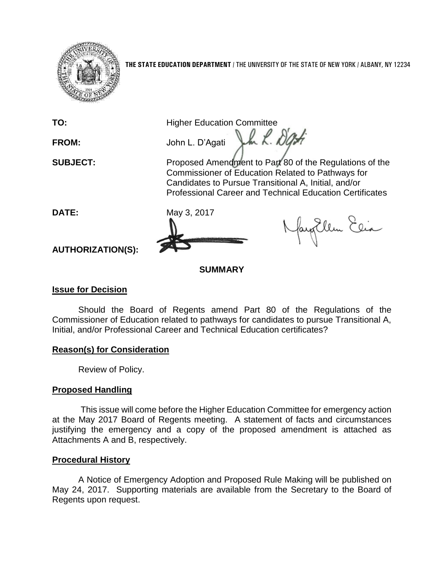

**THE STATE EDUCATION DEPARTMENT** / THE UNIVERSITY OF THE STATE OF NEW YORK / ALBANY, NY 12234

**TO:** Higher Education Committee Vm R. Dati

**FROM:** John L. D'Agati

**SUBJECT:** Proposed Amendment to Part 80 of the Regulations of the Commissioner of Education Related to Pathways for Candidates to Pursue Transitional A, Initial, and/or Professional Career and Technical Education Certificates



fayEllen Elia

**AUTHORIZATION(S):**

# **SUMMARY**

# **Issue for Decision**

Should the Board of Regents amend Part 80 of the Regulations of the Commissioner of Education related to pathways for candidates to pursue Transitional A, Initial, and/or Professional Career and Technical Education certificates?

## **Reason(s) for Consideration**

Review of Policy.

# **Proposed Handling**

This issue will come before the Higher Education Committee for emergency action at the May 2017 Board of Regents meeting. A statement of facts and circumstances justifying the emergency and a copy of the proposed amendment is attached as Attachments A and B, respectively.

# **Procedural History**

A Notice of Emergency Adoption and Proposed Rule Making will be published on May 24, 2017. Supporting materials are available from the Secretary to the Board of Regents upon request.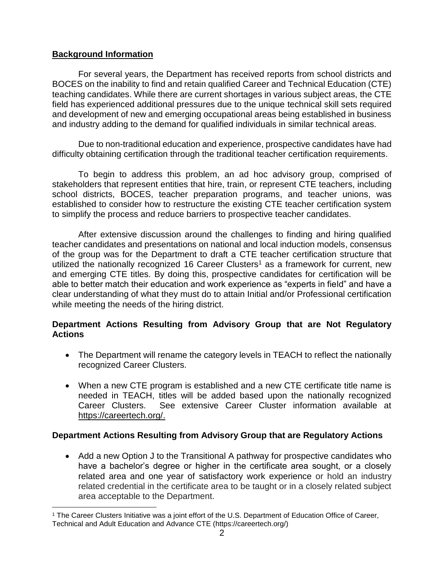## **Background Information**

For several years, the Department has received reports from school districts and BOCES on the inability to find and retain qualified Career and Technical Education (CTE) teaching candidates. While there are current shortages in various subject areas, the CTE field has experienced additional pressures due to the unique technical skill sets required and development of new and emerging occupational areas being established in business and industry adding to the demand for qualified individuals in similar technical areas.

Due to non-traditional education and experience, prospective candidates have had difficulty obtaining certification through the traditional teacher certification requirements.

To begin to address this problem, an ad hoc advisory group, comprised of stakeholders that represent entities that hire, train, or represent CTE teachers, including school districts, BOCES, teacher preparation programs, and teacher unions, was established to consider how to restructure the existing CTE teacher certification system to simplify the process and reduce barriers to prospective teacher candidates.

After extensive discussion around the challenges to finding and hiring qualified teacher candidates and presentations on national and local induction models, consensus of the group was for the Department to draft a CTE teacher certification structure that utilized the nationally recognized 16 Career Clusters<sup>1</sup> as a framework for current, new and emerging CTE titles. By doing this, prospective candidates for certification will be able to better match their education and work experience as "experts in field" and have a clear understanding of what they must do to attain Initial and/or Professional certification while meeting the needs of the hiring district.

### **Department Actions Resulting from Advisory Group that are Not Regulatory Actions**

- The Department will rename the category levels in TEACH to reflect the nationally recognized Career Clusters.
- When a new CTE program is established and a new CTE certificate title name is needed in TEACH, titles will be added based upon the nationally recognized Career Clusters. See extensive Career Cluster information available at https://careertech.org/.

## **Department Actions Resulting from Advisory Group that are Regulatory Actions**

• Add a new Option J to the Transitional A pathway for prospective candidates who have a bachelor's degree or higher in the certificate area sought, or a closely related area and one year of satisfactory work experience or hold an industry related credential in the certificate area to be taught or in a closely related subject area acceptable to the Department.

 $\overline{a}$ <sup>1</sup> The Career Clusters Initiative was a joint effort of the U.S. Department of Education Office of Career, Technical and Adult Education and Advance CTE (https://careertech.org/)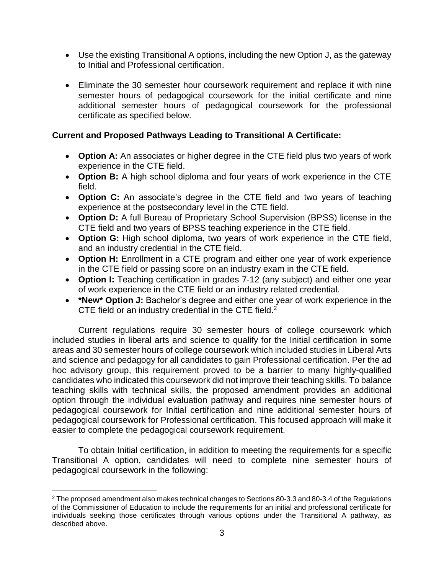- Use the existing Transitional A options, including the new Option J, as the gateway to Initial and Professional certification.
- Eliminate the 30 semester hour coursework requirement and replace it with nine semester hours of pedagogical coursework for the initial certificate and nine additional semester hours of pedagogical coursework for the professional certificate as specified below.

### **Current and Proposed Pathways Leading to Transitional A Certificate:**

- **Option A:** An associates or higher degree in the CTE field plus two years of work experience in the CTE field.
- **Option B:** A high school diploma and four years of work experience in the CTE field.
- **Option C:** An associate's degree in the CTE field and two years of teaching experience at the postsecondary level in the CTE field.
- **Option D:** A full Bureau of Proprietary School Supervision (BPSS) license in the CTE field and two years of BPSS teaching experience in the CTE field.
- **Option G:** High school diploma, two years of work experience in the CTE field, and an industry credential in the CTE field.
- **Option H:** Enrollment in a CTE program and either one year of work experience in the CTE field or passing score on an industry exam in the CTE field.
- **Option I:** Teaching certification in grades 7-12 (any subject) and either one year of work experience in the CTE field or an industry related credential.
- **\*New\* Option J:** Bachelor's degree and either one year of work experience in the CTE field or an industry credential in the CTE field.<sup>2</sup>

Current regulations require 30 semester hours of college coursework which included studies in liberal arts and science to qualify for the Initial certification in some areas and 30 semester hours of college coursework which included studies in Liberal Arts and science and pedagogy for all candidates to gain Professional certification. Per the ad hoc advisory group, this requirement proved to be a barrier to many highly-qualified candidates who indicated this coursework did not improve their teaching skills. To balance teaching skills with technical skills, the proposed amendment provides an additional option through the individual evaluation pathway and requires nine semester hours of pedagogical coursework for Initial certification and nine additional semester hours of pedagogical coursework for Professional certification. This focused approach will make it easier to complete the pedagogical coursework requirement.

To obtain Initial certification, in addition to meeting the requirements for a specific Transitional A option, candidates will need to complete nine semester hours of pedagogical coursework in the following:

 $\overline{a}$ 

<sup>2</sup> The proposed amendment also makes technical changes to Sections 80-3.3 and 80-3.4 of the Regulations of the Commissioner of Education to include the requirements for an initial and professional certificate for individuals seeking those certificates through various options under the Transitional A pathway, as described above.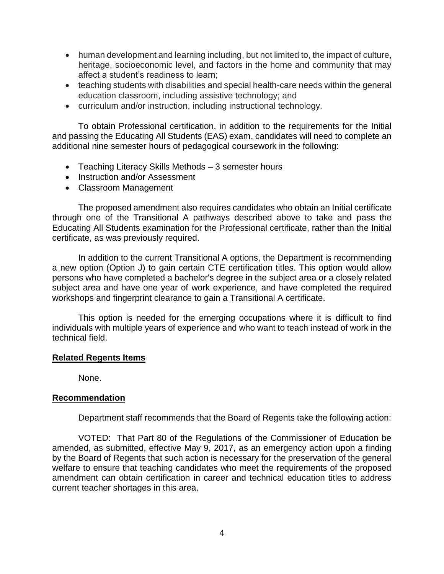- human development and learning including, but not limited to, the impact of culture, heritage, socioeconomic level, and factors in the home and community that may affect a student's readiness to learn;
- teaching students with disabilities and special health-care needs within the general education classroom, including assistive technology; and
- curriculum and/or instruction, including instructional technology.

To obtain Professional certification, in addition to the requirements for the Initial and passing the Educating All Students (EAS) exam, candidates will need to complete an additional nine semester hours of pedagogical coursework in the following:

- Teaching Literacy Skills Methods 3 semester hours
- Instruction and/or Assessment
- Classroom Management

The proposed amendment also requires candidates who obtain an Initial certificate through one of the Transitional A pathways described above to take and pass the Educating All Students examination for the Professional certificate, rather than the Initial certificate, as was previously required.

 In addition to the current Transitional A options, the Department is recommending a new option (Option J) to gain certain CTE certification titles. This option would allow persons who have completed a bachelor's degree in the subject area or a closely related subject area and have one year of work experience, and have completed the required workshops and fingerprint clearance to gain a Transitional A certificate.

This option is needed for the emerging occupations where it is difficult to find individuals with multiple years of experience and who want to teach instead of work in the technical field.

#### **Related Regents Items**

None.

#### **Recommendation**

Department staff recommends that the Board of Regents take the following action:

VOTED: That Part 80 of the Regulations of the Commissioner of Education be amended, as submitted, effective May 9, 2017, as an emergency action upon a finding by the Board of Regents that such action is necessary for the preservation of the general welfare to ensure that teaching candidates who meet the requirements of the proposed amendment can obtain certification in career and technical education titles to address current teacher shortages in this area.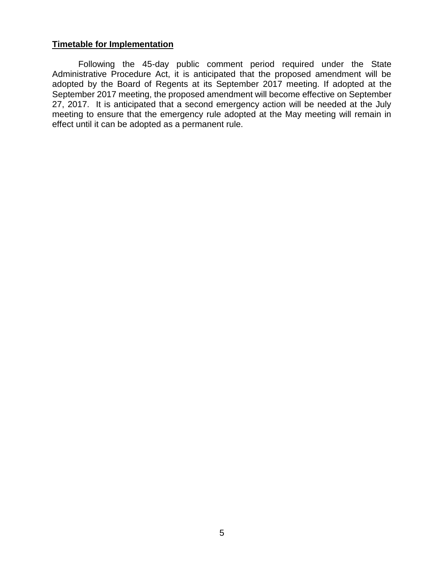#### **Timetable for Implementation**

Following the 45-day public comment period required under the State Administrative Procedure Act, it is anticipated that the proposed amendment will be adopted by the Board of Regents at its September 2017 meeting. If adopted at the September 2017 meeting, the proposed amendment will become effective on September 27, 2017. It is anticipated that a second emergency action will be needed at the July meeting to ensure that the emergency rule adopted at the May meeting will remain in effect until it can be adopted as a permanent rule.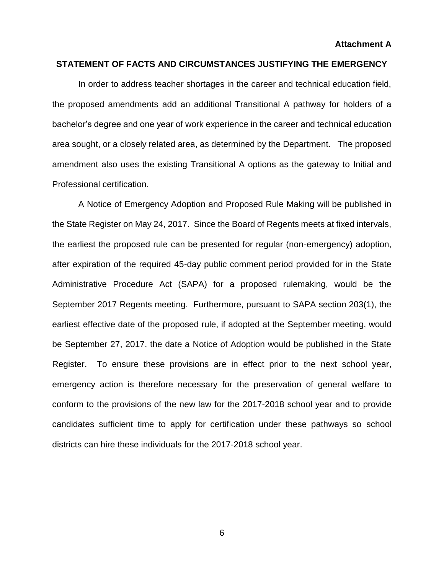#### **STATEMENT OF FACTS AND CIRCUMSTANCES JUSTIFYING THE EMERGENCY**

In order to address teacher shortages in the career and technical education field, the proposed amendments add an additional Transitional A pathway for holders of a bachelor's degree and one year of work experience in the career and technical education area sought, or a closely related area, as determined by the Department. The proposed amendment also uses the existing Transitional A options as the gateway to Initial and Professional certification.

A Notice of Emergency Adoption and Proposed Rule Making will be published in the State Register on May 24, 2017. Since the Board of Regents meets at fixed intervals, the earliest the proposed rule can be presented for regular (non-emergency) adoption, after expiration of the required 45-day public comment period provided for in the State Administrative Procedure Act (SAPA) for a proposed rulemaking, would be the September 2017 Regents meeting. Furthermore, pursuant to SAPA section 203(1), the earliest effective date of the proposed rule, if adopted at the September meeting, would be September 27, 2017, the date a Notice of Adoption would be published in the State Register. To ensure these provisions are in effect prior to the next school year, emergency action is therefore necessary for the preservation of general welfare to conform to the provisions of the new law for the 2017-2018 school year and to provide candidates sufficient time to apply for certification under these pathways so school districts can hire these individuals for the 2017-2018 school year.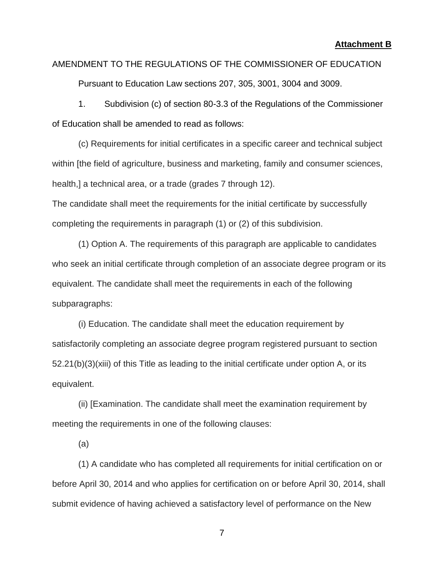## AMENDMENT TO THE REGULATIONS OF THE COMMISSIONER OF EDUCATION

Pursuant to Education Law sections 207, 305, 3001, 3004 and 3009.

1. Subdivision (c) of section 80-3.3 of the Regulations of the Commissioner of Education shall be amended to read as follows:

(c) Requirements for initial certificates in a specific career and technical subject within [the field of agriculture, business and marketing, family and consumer sciences, health,] a technical area, or a trade (grades 7 through 12).

The candidate shall meet the requirements for the initial certificate by successfully completing the requirements in paragraph (1) or (2) of this subdivision.

(1) Option A. The requirements of this paragraph are applicable to candidates who seek an initial certificate through completion of an associate degree program or its equivalent. The candidate shall meet the requirements in each of the following subparagraphs:

(i) Education. The candidate shall meet the education requirement by satisfactorily completing an associate degree program registered pursuant to section 52.21(b)(3)(xiii) of this Title as leading to the initial certificate under option A, or its equivalent.

(ii) [Examination. The candidate shall meet the examination requirement by meeting the requirements in one of the following clauses:

(a)

(1) A candidate who has completed all requirements for initial certification on or before April 30, 2014 and who applies for certification on or before April 30, 2014, shall submit evidence of having achieved a satisfactory level of performance on the New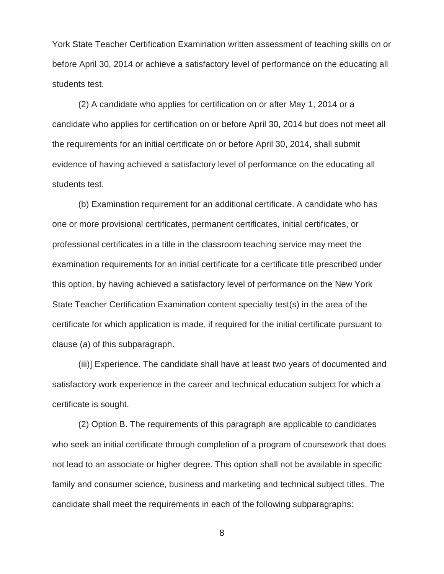York State Teacher Certification Examination written assessment of teaching skills on or before April 30, 2014 or achieve a satisfactory level of performance on the educating all students test.

(2) A candidate who applies for certification on or after May 1, 2014 or a candidate who applies for certification on or before April 30, 2014 but does not meet all the requirements for an initial certificate on or before April 30, 2014, shall submit evidence of having achieved a satisfactory level of performance on the educating all students test.

(b) Examination requirement for an additional certificate. A candidate who has one or more provisional certificates, permanent certificates, initial certificates, or professional certificates in a title in the classroom teaching service may meet the examination requirements for an initial certificate for a certificate title prescribed under this option, by having achieved a satisfactory level of performance on the New York State Teacher Certification Examination content specialty test(s) in the area of the certificate for which application is made, if required for the initial certificate pursuant to clause (*a*) of this subparagraph.

(iii)] Experience. The candidate shall have at least two years of documented and satisfactory work experience in the career and technical education subject for which a certificate is sought.

(2) Option B. The requirements of this paragraph are applicable to candidates who seek an initial certificate through completion of a program of coursework that does not lead to an associate or higher degree. This option shall not be available in specific family and consumer science, business and marketing and technical subject titles. The candidate shall meet the requirements in each of the following subparagraphs: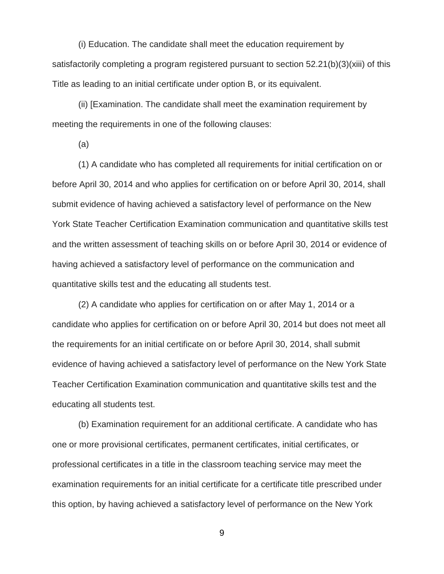(i) Education. The candidate shall meet the education requirement by satisfactorily completing a program registered pursuant to section 52.21(b)(3)(xiii) of this Title as leading to an initial certificate under option B, or its equivalent.

(ii) [Examination. The candidate shall meet the examination requirement by meeting the requirements in one of the following clauses:

(a)

(1) A candidate who has completed all requirements for initial certification on or before April 30, 2014 and who applies for certification on or before April 30, 2014, shall submit evidence of having achieved a satisfactory level of performance on the New York State Teacher Certification Examination communication and quantitative skills test and the written assessment of teaching skills on or before April 30, 2014 or evidence of having achieved a satisfactory level of performance on the communication and quantitative skills test and the educating all students test.

(2) A candidate who applies for certification on or after May 1, 2014 or a candidate who applies for certification on or before April 30, 2014 but does not meet all the requirements for an initial certificate on or before April 30, 2014, shall submit evidence of having achieved a satisfactory level of performance on the New York State Teacher Certification Examination communication and quantitative skills test and the educating all students test.

(b) Examination requirement for an additional certificate. A candidate who has one or more provisional certificates, permanent certificates, initial certificates, or professional certificates in a title in the classroom teaching service may meet the examination requirements for an initial certificate for a certificate title prescribed under this option, by having achieved a satisfactory level of performance on the New York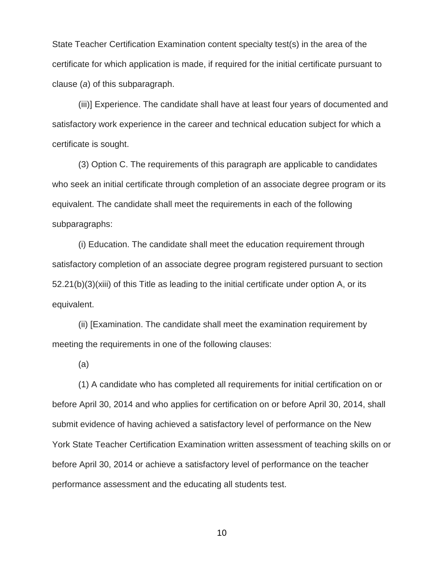State Teacher Certification Examination content specialty test(s) in the area of the certificate for which application is made, if required for the initial certificate pursuant to clause (*a*) of this subparagraph.

(iii)] Experience. The candidate shall have at least four years of documented and satisfactory work experience in the career and technical education subject for which a certificate is sought.

(3) Option C. The requirements of this paragraph are applicable to candidates who seek an initial certificate through completion of an associate degree program or its equivalent. The candidate shall meet the requirements in each of the following subparagraphs:

(i) Education. The candidate shall meet the education requirement through satisfactory completion of an associate degree program registered pursuant to section 52.21(b)(3)(xiii) of this Title as leading to the initial certificate under option A, or its equivalent.

(ii) [Examination. The candidate shall meet the examination requirement by meeting the requirements in one of the following clauses:

(a)

(1) A candidate who has completed all requirements for initial certification on or before April 30, 2014 and who applies for certification on or before April 30, 2014, shall submit evidence of having achieved a satisfactory level of performance on the New York State Teacher Certification Examination written assessment of teaching skills on or before April 30, 2014 or achieve a satisfactory level of performance on the teacher performance assessment and the educating all students test.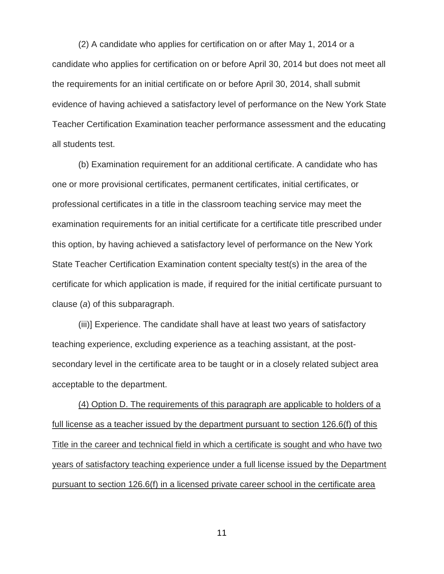(2) A candidate who applies for certification on or after May 1, 2014 or a candidate who applies for certification on or before April 30, 2014 but does not meet all the requirements for an initial certificate on or before April 30, 2014, shall submit evidence of having achieved a satisfactory level of performance on the New York State Teacher Certification Examination teacher performance assessment and the educating all students test.

(b) Examination requirement for an additional certificate. A candidate who has one or more provisional certificates, permanent certificates, initial certificates, or professional certificates in a title in the classroom teaching service may meet the examination requirements for an initial certificate for a certificate title prescribed under this option, by having achieved a satisfactory level of performance on the New York State Teacher Certification Examination content specialty test(s) in the area of the certificate for which application is made, if required for the initial certificate pursuant to clause (*a*) of this subparagraph.

(iii)] Experience. The candidate shall have at least two years of satisfactory teaching experience, excluding experience as a teaching assistant, at the postsecondary level in the certificate area to be taught or in a closely related subject area acceptable to the department.

(4) Option D. The requirements of this paragraph are applicable to holders of a full license as a teacher issued by the department pursuant to section 126.6(f) of this Title in the career and technical field in which a certificate is sought and who have two years of satisfactory teaching experience under a full license issued by the Department pursuant to section 126.6(f) in a licensed private career school in the certificate area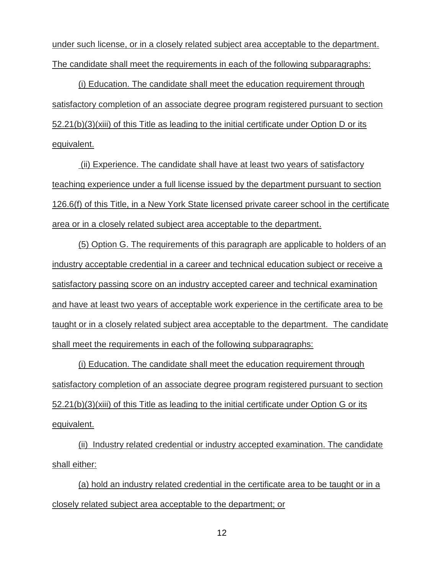under such license, or in a closely related subject area acceptable to the department. The candidate shall meet the requirements in each of the following subparagraphs:

(i) Education. The candidate shall meet the education requirement through satisfactory completion of an associate degree program registered pursuant to section 52.21(b)(3)(xiii) of this Title as leading to the initial certificate under Option D or its equivalent.

(ii) Experience. The candidate shall have at least two years of satisfactory teaching experience under a full license issued by the department pursuant to section 126.6(f) of this Title, in a New York State licensed private career school in the certificate area or in a closely related subject area acceptable to the department.

(5) Option G. The requirements of this paragraph are applicable to holders of an industry acceptable credential in a career and technical education subject or receive a satisfactory passing score on an industry accepted career and technical examination and have at least two years of acceptable work experience in the certificate area to be taught or in a closely related subject area acceptable to the department. The candidate shall meet the requirements in each of the following subparagraphs:

(i) Education. The candidate shall meet the education requirement through satisfactory completion of an associate degree program registered pursuant to section 52.21(b)(3)(xiii) of this Title as leading to the initial certificate under Option G or its equivalent.

(ii) Industry related credential or industry accepted examination. The candidate shall either:

(a) hold an industry related credential in the certificate area to be taught or in a closely related subject area acceptable to the department; or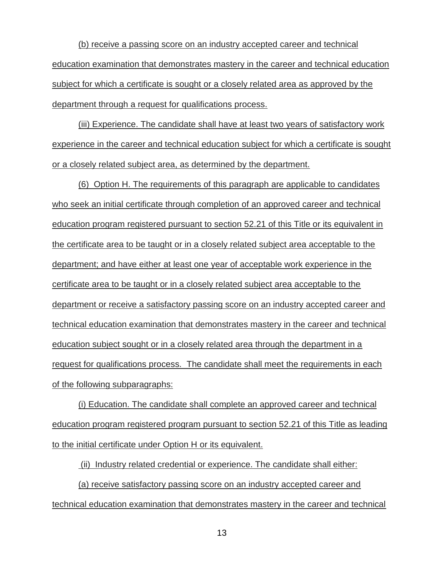(b) receive a passing score on an industry accepted career and technical education examination that demonstrates mastery in the career and technical education subject for which a certificate is sought or a closely related area as approved by the department through a request for qualifications process.

(iii) Experience. The candidate shall have at least two years of satisfactory work experience in the career and technical education subject for which a certificate is sought or a closely related subject area, as determined by the department.

(6) Option H. The requirements of this paragraph are applicable to candidates who seek an initial certificate through completion of an approved career and technical education program registered pursuant to section 52.21 of this Title or its equivalent in the certificate area to be taught or in a closely related subject area acceptable to the department; and have either at least one year of acceptable work experience in the certificate area to be taught or in a closely related subject area acceptable to the department or receive a satisfactory passing score on an industry accepted career and technical education examination that demonstrates mastery in the career and technical education subject sought or in a closely related area through the department in a request for qualifications process. The candidate shall meet the requirements in each of the following subparagraphs:

(i) Education. The candidate shall complete an approved career and technical education program registered program pursuant to section 52.21 of this Title as leading to the initial certificate under Option H or its equivalent.

(ii) Industry related credential or experience. The candidate shall either: (a) receive satisfactory passing score on an industry accepted career and technical education examination that demonstrates mastery in the career and technical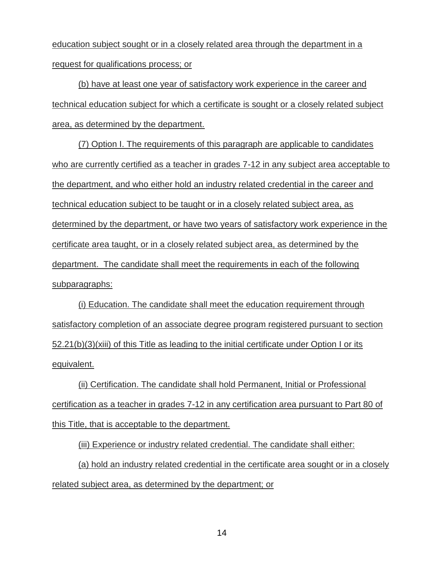education subject sought or in a closely related area through the department in a request for qualifications process; or

(b) have at least one year of satisfactory work experience in the career and technical education subject for which a certificate is sought or a closely related subject area, as determined by the department.

(7) Option I. The requirements of this paragraph are applicable to candidates who are currently certified as a teacher in grades 7-12 in any subject area acceptable to the department, and who either hold an industry related credential in the career and technical education subject to be taught or in a closely related subject area, as determined by the department, or have two years of satisfactory work experience in the certificate area taught, or in a closely related subject area, as determined by the department. The candidate shall meet the requirements in each of the following subparagraphs:

(i) Education. The candidate shall meet the education requirement through satisfactory completion of an associate degree program registered pursuant to section 52.21(b)(3)(xiii) of this Title as leading to the initial certificate under Option I or its equivalent.

(ii) Certification. The candidate shall hold Permanent, Initial or Professional certification as a teacher in grades 7-12 in any certification area pursuant to Part 80 of this Title, that is acceptable to the department.

(iii) Experience or industry related credential. The candidate shall either: (a) hold an industry related credential in the certificate area sought or in a closely related subject area, as determined by the department; or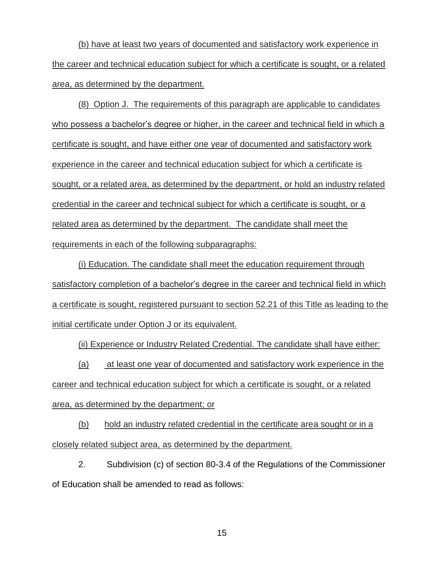(b) have at least two years of documented and satisfactory work experience in the career and technical education subject for which a certificate is sought, or a related area, as determined by the department.

(8) Option J. The requirements of this paragraph are applicable to candidates who possess a bachelor's degree or higher, in the career and technical field in which a certificate is sought, and have either one year of documented and satisfactory work experience in the career and technical education subject for which a certificate is sought, or a related area, as determined by the department, or hold an industry related credential in the career and technical subject for which a certificate is sought, or a related area as determined by the department. The candidate shall meet the requirements in each of the following subparagraphs:

(i) Education. The candidate shall meet the education requirement through satisfactory completion of a bachelor's degree in the career and technical field in which a certificate is sought, registered pursuant to section 52.21 of this Title as leading to the initial certificate under Option J or its equivalent.

(ii) Experience or Industry Related Credential. The candidate shall have either:

(a) at least one year of documented and satisfactory work experience in the career and technical education subject for which a certificate is sought, or a related area, as determined by the department; or

(b) hold an industry related credential in the certificate area sought or in a closely related subject area, as determined by the department.

2. Subdivision (c) of section 80-3.4 of the Regulations of the Commissioner of Education shall be amended to read as follows: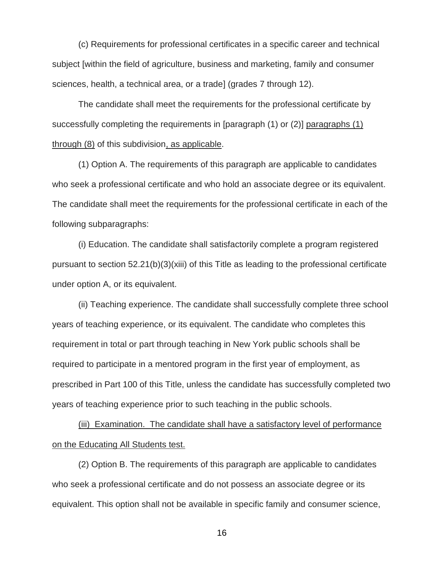(c) Requirements for professional certificates in a specific career and technical subject [within the field of agriculture, business and marketing, family and consumer sciences, health, a technical area, or a trade] (grades 7 through 12).

The candidate shall meet the requirements for the professional certificate by successfully completing the requirements in [paragraph (1) or (2)] paragraphs (1) through (8) of this subdivision, as applicable.

(1) Option A. The requirements of this paragraph are applicable to candidates who seek a professional certificate and who hold an associate degree or its equivalent. The candidate shall meet the requirements for the professional certificate in each of the following subparagraphs:

(i) Education. The candidate shall satisfactorily complete a program registered pursuant to section 52.21(b)(3)(xiii) of this Title as leading to the professional certificate under option A, or its equivalent.

(ii) Teaching experience. The candidate shall successfully complete three school years of teaching experience, or its equivalent. The candidate who completes this requirement in total or part through teaching in New York public schools shall be required to participate in a mentored program in the first year of employment, as prescribed in Part 100 of this Title, unless the candidate has successfully completed two years of teaching experience prior to such teaching in the public schools.

(iii) Examination. The candidate shall have a satisfactory level of performance on the Educating All Students test.

(2) Option B. The requirements of this paragraph are applicable to candidates who seek a professional certificate and do not possess an associate degree or its equivalent. This option shall not be available in specific family and consumer science,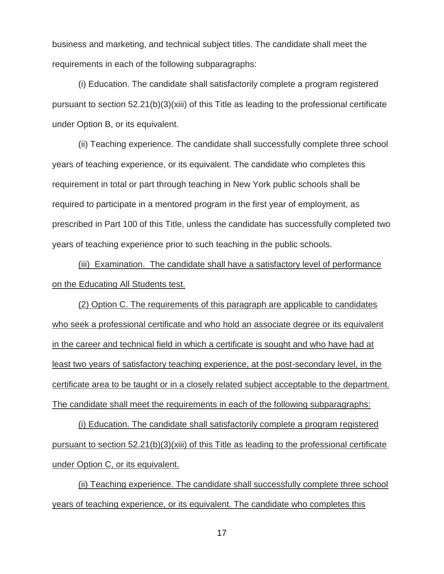business and marketing, and technical subject titles. The candidate shall meet the requirements in each of the following subparagraphs:

(i) Education. The candidate shall satisfactorily complete a program registered pursuant to section 52.21(b)(3)(xiii) of this Title as leading to the professional certificate under Option B, or its equivalent.

(ii) Teaching experience. The candidate shall successfully complete three school years of teaching experience, or its equivalent. The candidate who completes this requirement in total or part through teaching in New York public schools shall be required to participate in a mentored program in the first year of employment, as prescribed in Part 100 of this Title, unless the candidate has successfully completed two years of teaching experience prior to such teaching in the public schools.

(iii) Examination. The candidate shall have a satisfactory level of performance on the Educating All Students test.

(2) Option C. The requirements of this paragraph are applicable to candidates who seek a professional certificate and who hold an associate degree or its equivalent in the career and technical field in which a certificate is sought and who have had at least two years of satisfactory teaching experience, at the post-secondary level, in the certificate area to be taught or in a closely related subject acceptable to the department. The candidate shall meet the requirements in each of the following subparagraphs:

(i) Education. The candidate shall satisfactorily complete a program registered pursuant to section 52.21(b)(3)(xiii) of this Title as leading to the professional certificate under Option C, or its equivalent.

(ii) Teaching experience. The candidate shall successfully complete three school years of teaching experience, or its equivalent. The candidate who completes this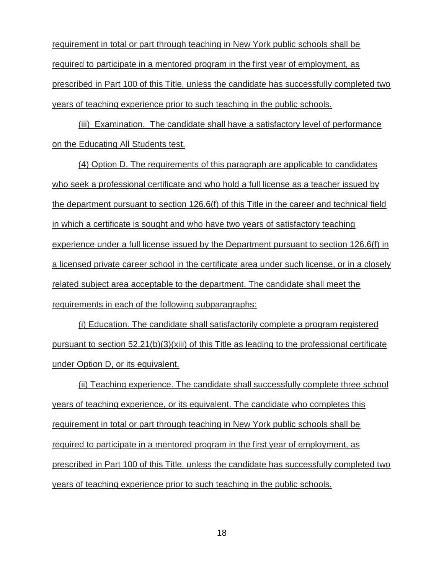requirement in total or part through teaching in New York public schools shall be required to participate in a mentored program in the first year of employment, as prescribed in Part 100 of this Title, unless the candidate has successfully completed two years of teaching experience prior to such teaching in the public schools.

(iii) Examination. The candidate shall have a satisfactory level of performance on the Educating All Students test.

(4) Option D. The requirements of this paragraph are applicable to candidates who seek a professional certificate and who hold a full license as a teacher issued by the department pursuant to section 126.6(f) of this Title in the career and technical field in which a certificate is sought and who have two years of satisfactory teaching experience under a full license issued by the Department pursuant to section 126.6(f) in a licensed private career school in the certificate area under such license, or in a closely related subject area acceptable to the department. The candidate shall meet the requirements in each of the following subparagraphs:

(i) Education. The candidate shall satisfactorily complete a program registered pursuant to section 52.21(b)(3)(xiii) of this Title as leading to the professional certificate under Option D, or its equivalent.

(ii) Teaching experience. The candidate shall successfully complete three school years of teaching experience, or its equivalent. The candidate who completes this requirement in total or part through teaching in New York public schools shall be required to participate in a mentored program in the first year of employment, as prescribed in Part 100 of this Title, unless the candidate has successfully completed two years of teaching experience prior to such teaching in the public schools.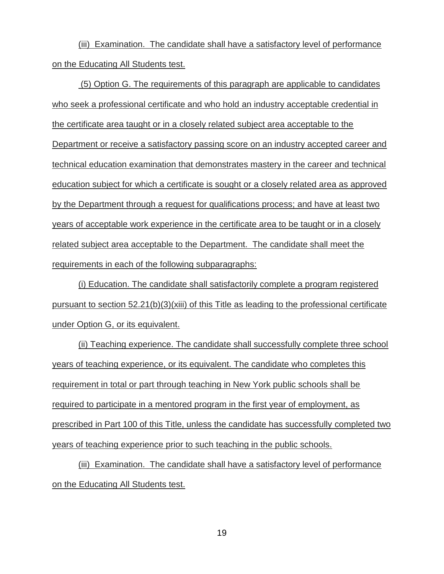(iii) Examination. The candidate shall have a satisfactory level of performance on the Educating All Students test.

(5) Option G. The requirements of this paragraph are applicable to candidates who seek a professional certificate and who hold an industry acceptable credential in the certificate area taught or in a closely related subject area acceptable to the Department or receive a satisfactory passing score on an industry accepted career and technical education examination that demonstrates mastery in the career and technical education subject for which a certificate is sought or a closely related area as approved by the Department through a request for qualifications process; and have at least two years of acceptable work experience in the certificate area to be taught or in a closely related subject area acceptable to the Department. The candidate shall meet the requirements in each of the following subparagraphs:

(i) Education. The candidate shall satisfactorily complete a program registered pursuant to section 52.21(b)(3)(xiii) of this Title as leading to the professional certificate under Option G, or its equivalent.

(ii) Teaching experience. The candidate shall successfully complete three school years of teaching experience, or its equivalent. The candidate who completes this requirement in total or part through teaching in New York public schools shall be required to participate in a mentored program in the first year of employment, as prescribed in Part 100 of this Title, unless the candidate has successfully completed two years of teaching experience prior to such teaching in the public schools.

(iii) Examination. The candidate shall have a satisfactory level of performance on the Educating All Students test.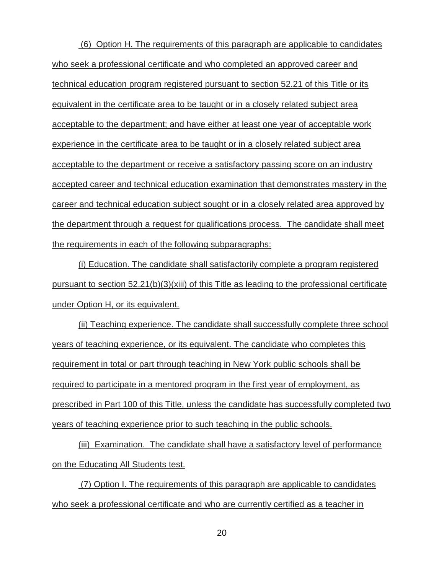(6) Option H. The requirements of this paragraph are applicable to candidates who seek a professional certificate and who completed an approved career and technical education program registered pursuant to section 52.21 of this Title or its equivalent in the certificate area to be taught or in a closely related subject area acceptable to the department; and have either at least one year of acceptable work experience in the certificate area to be taught or in a closely related subject area acceptable to the department or receive a satisfactory passing score on an industry accepted career and technical education examination that demonstrates mastery in the career and technical education subject sought or in a closely related area approved by the department through a request for qualifications process. The candidate shall meet the requirements in each of the following subparagraphs:

(i) Education. The candidate shall satisfactorily complete a program registered pursuant to section 52.21(b)(3)(xiii) of this Title as leading to the professional certificate under Option H, or its equivalent.

(ii) Teaching experience. The candidate shall successfully complete three school years of teaching experience, or its equivalent. The candidate who completes this requirement in total or part through teaching in New York public schools shall be required to participate in a mentored program in the first year of employment, as prescribed in Part 100 of this Title, unless the candidate has successfully completed two years of teaching experience prior to such teaching in the public schools.

(iii) Examination. The candidate shall have a satisfactory level of performance on the Educating All Students test.

(7) Option I. The requirements of this paragraph are applicable to candidates who seek a professional certificate and who are currently certified as a teacher in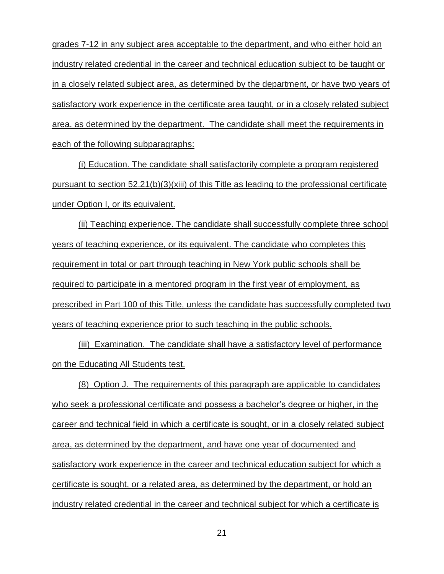grades 7-12 in any subject area acceptable to the department, and who either hold an industry related credential in the career and technical education subject to be taught or in a closely related subject area, as determined by the department, or have two years of satisfactory work experience in the certificate area taught, or in a closely related subject area, as determined by the department. The candidate shall meet the requirements in each of the following subparagraphs:

(i) Education. The candidate shall satisfactorily complete a program registered pursuant to section 52.21(b)(3)(xiii) of this Title as leading to the professional certificate under Option I, or its equivalent.

(ii) Teaching experience. The candidate shall successfully complete three school years of teaching experience, or its equivalent. The candidate who completes this requirement in total or part through teaching in New York public schools shall be required to participate in a mentored program in the first year of employment, as prescribed in Part 100 of this Title, unless the candidate has successfully completed two years of teaching experience prior to such teaching in the public schools.

(iii) Examination. The candidate shall have a satisfactory level of performance on the Educating All Students test.

(8) Option J. The requirements of this paragraph are applicable to candidates who seek a professional certificate and possess a bachelor's degree or higher, in the career and technical field in which a certificate is sought, or in a closely related subject area, as determined by the department, and have one year of documented and satisfactory work experience in the career and technical education subject for which a certificate is sought, or a related area, as determined by the department, or hold an industry related credential in the career and technical subject for which a certificate is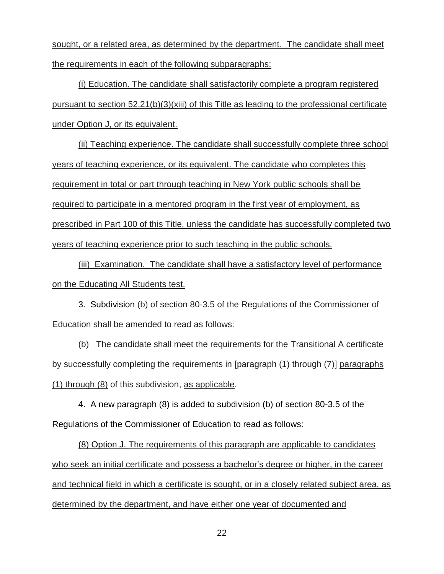sought, or a related area, as determined by the department. The candidate shall meet the requirements in each of the following subparagraphs:

(i) Education. The candidate shall satisfactorily complete a program registered pursuant to section 52.21(b)(3)(xiii) of this Title as leading to the professional certificate under Option J, or its equivalent.

(ii) Teaching experience. The candidate shall successfully complete three school years of teaching experience, or its equivalent. The candidate who completes this requirement in total or part through teaching in New York public schools shall be required to participate in a mentored program in the first year of employment, as prescribed in Part 100 of this Title, unless the candidate has successfully completed two years of teaching experience prior to such teaching in the public schools.

(iii) Examination. The candidate shall have a satisfactory level of performance on the Educating All Students test.

3. Subdivision (b) of section 80-3.5 of the Regulations of the Commissioner of Education shall be amended to read as follows:

(b) The candidate shall meet the requirements for the Transitional A certificate by successfully completing the requirements in [paragraph (1) through (7)] paragraphs (1) through (8) of this subdivision, as applicable.

4. A new paragraph (8) is added to subdivision (b) of section 80-3.5 of the Regulations of the Commissioner of Education to read as follows:

(8) Option J. The requirements of this paragraph are applicable to candidates who seek an initial certificate and possess a bachelor's degree or higher, in the career and technical field in which a certificate is sought, or in a closely related subject area, as determined by the department, and have either one year of documented and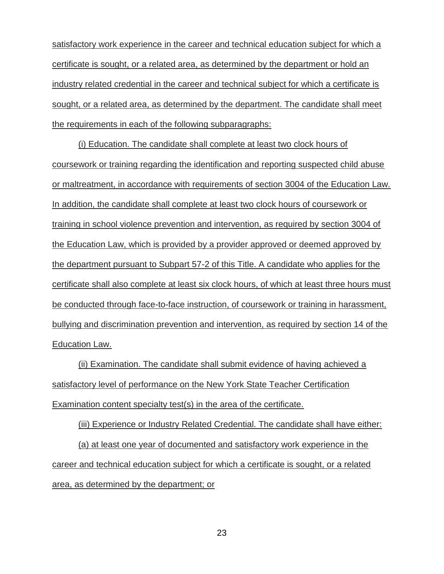satisfactory work experience in the career and technical education subject for which a certificate is sought, or a related area, as determined by the department or hold an industry related credential in the career and technical subject for which a certificate is sought, or a related area, as determined by the department. The candidate shall meet the requirements in each of the following subparagraphs:

(i) Education. The candidate shall complete at least two clock hours of coursework or training regarding the identification and reporting suspected child abuse or maltreatment, in accordance with requirements of section 3004 of the Education Law. In addition, the candidate shall complete at least two clock hours of coursework or training in school violence prevention and intervention, as required by section 3004 of the Education Law, which is provided by a provider approved or deemed approved by the department pursuant to Subpart 57-2 of this Title. A candidate who applies for the certificate shall also complete at least six clock hours, of which at least three hours must be conducted through face-to-face instruction, of coursework or training in harassment, bullying and discrimination prevention and intervention, as required by section 14 of the Education Law.

(ii) Examination. The candidate shall submit evidence of having achieved a satisfactory level of performance on the New York State Teacher Certification Examination content specialty test(s) in the area of the certificate.

(iii) Experience or Industry Related Credential. The candidate shall have either: (a) at least one year of documented and satisfactory work experience in the career and technical education subject for which a certificate is sought, or a related area, as determined by the department; or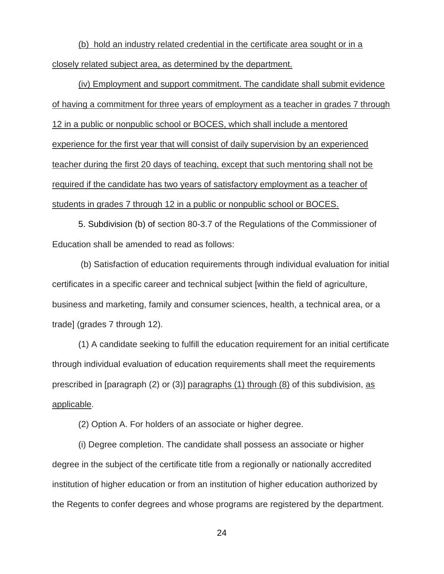(b) hold an industry related credential in the certificate area sought or in a closely related subject area, as determined by the department.

(iv) Employment and support commitment. The candidate shall submit evidence of having a commitment for three years of employment as a teacher in grades 7 through 12 in a public or nonpublic school or BOCES, which shall include a mentored experience for the first year that will consist of daily supervision by an experienced teacher during the first 20 days of teaching, except that such mentoring shall not be required if the candidate has two years of satisfactory employment as a teacher of students in grades 7 through 12 in a public or nonpublic school or BOCES.

5. Subdivision (b) of section 80-3.7 of the Regulations of the Commissioner of Education shall be amended to read as follows:

(b) Satisfaction of education requirements through individual evaluation for initial certificates in a specific career and technical subject [within the field of agriculture, business and marketing, family and consumer sciences, health, a technical area, or a trade] (grades 7 through 12).

(1) A candidate seeking to fulfill the education requirement for an initial certificate through individual evaluation of education requirements shall meet the requirements prescribed in [paragraph (2) or (3)] paragraphs (1) through (8) of this subdivision, as applicable.

(2) Option A. For holders of an associate or higher degree.

(i) Degree completion. The candidate shall possess an associate or higher degree in the subject of the certificate title from a regionally or nationally accredited institution of higher education or from an institution of higher education authorized by the Regents to confer degrees and whose programs are registered by the department.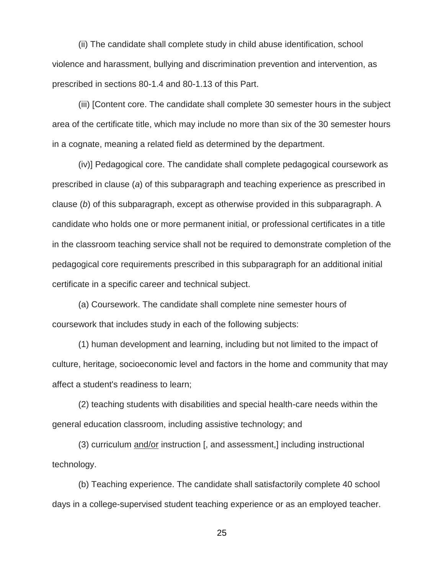(ii) The candidate shall complete study in child abuse identification, school violence and harassment, bullying and discrimination prevention and intervention, as prescribed in sections 80-1.4 and 80-1.13 of this Part.

(iii) [Content core. The candidate shall complete 30 semester hours in the subject area of the certificate title, which may include no more than six of the 30 semester hours in a cognate, meaning a related field as determined by the department.

(iv)] Pedagogical core. The candidate shall complete pedagogical coursework as prescribed in clause (*a*) of this subparagraph and teaching experience as prescribed in clause (*b*) of this subparagraph, except as otherwise provided in this subparagraph. A candidate who holds one or more permanent initial, or professional certificates in a title in the classroom teaching service shall not be required to demonstrate completion of the pedagogical core requirements prescribed in this subparagraph for an additional initial certificate in a specific career and technical subject.

(a) Coursework. The candidate shall complete nine semester hours of coursework that includes study in each of the following subjects:

(1) human development and learning, including but not limited to the impact of culture, heritage, socioeconomic level and factors in the home and community that may affect a student's readiness to learn;

(2) teaching students with disabilities and special health-care needs within the general education classroom, including assistive technology; and

(3) curriculum and/or instruction [, and assessment,] including instructional technology.

(b) Teaching experience. The candidate shall satisfactorily complete 40 school days in a college-supervised student teaching experience or as an employed teacher.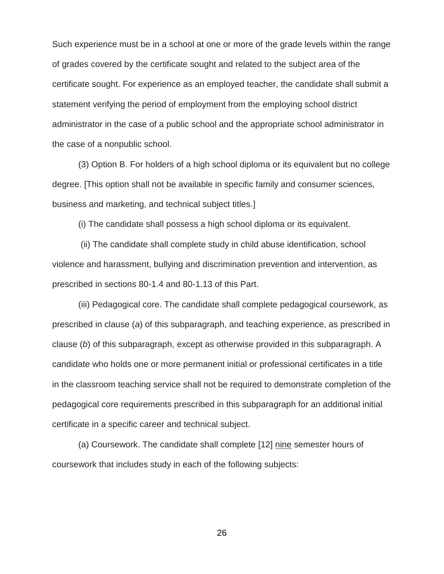Such experience must be in a school at one or more of the grade levels within the range of grades covered by the certificate sought and related to the subject area of the certificate sought. For experience as an employed teacher, the candidate shall submit a statement verifying the period of employment from the employing school district administrator in the case of a public school and the appropriate school administrator in the case of a nonpublic school.

(3) Option B. For holders of a high school diploma or its equivalent but no college degree. [This option shall not be available in specific family and consumer sciences, business and marketing, and technical subject titles.]

(i) The candidate shall possess a high school diploma or its equivalent.

(ii) The candidate shall complete study in child abuse identification, school violence and harassment, bullying and discrimination prevention and intervention, as prescribed in sections 80-1.4 and 80-1.13 of this Part.

(iii) Pedagogical core. The candidate shall complete pedagogical coursework, as prescribed in clause (*a*) of this subparagraph, and teaching experience, as prescribed in clause (*b*) of this subparagraph, except as otherwise provided in this subparagraph. A candidate who holds one or more permanent initial or professional certificates in a title in the classroom teaching service shall not be required to demonstrate completion of the pedagogical core requirements prescribed in this subparagraph for an additional initial certificate in a specific career and technical subject.

(a) Coursework. The candidate shall complete [12] nine semester hours of coursework that includes study in each of the following subjects: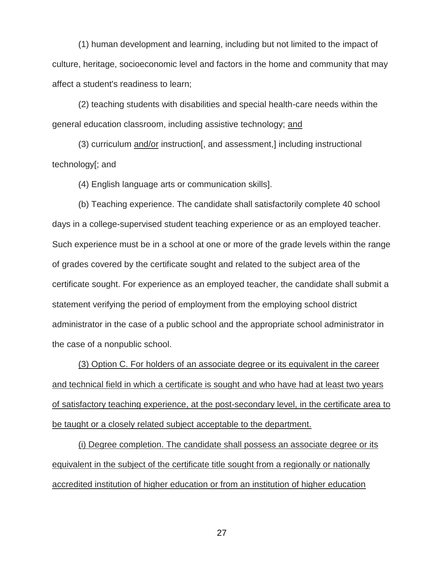(1) human development and learning, including but not limited to the impact of culture, heritage, socioeconomic level and factors in the home and community that may affect a student's readiness to learn;

(2) teaching students with disabilities and special health-care needs within the general education classroom, including assistive technology; and

(3) curriculum and/or instruction[, and assessment,] including instructional technology[; and

(4) English language arts or communication skills].

(b) Teaching experience. The candidate shall satisfactorily complete 40 school days in a college-supervised student teaching experience or as an employed teacher. Such experience must be in a school at one or more of the grade levels within the range of grades covered by the certificate sought and related to the subject area of the certificate sought. For experience as an employed teacher, the candidate shall submit a statement verifying the period of employment from the employing school district administrator in the case of a public school and the appropriate school administrator in the case of a nonpublic school.

(3) Option C. For holders of an associate degree or its equivalent in the career and technical field in which a certificate is sought and who have had at least two years of satisfactory teaching experience, at the post-secondary level, in the certificate area to be taught or a closely related subject acceptable to the department.

(i) Degree completion. The candidate shall possess an associate degree or its equivalent in the subject of the certificate title sought from a regionally or nationally accredited institution of higher education or from an institution of higher education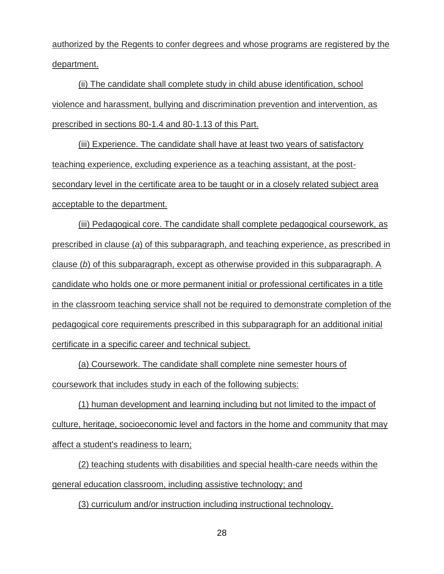authorized by the Regents to confer degrees and whose programs are registered by the department.

(ii) The candidate shall complete study in child abuse identification, school violence and harassment, bullying and discrimination prevention and intervention, as prescribed in sections 80-1.4 and 80-1.13 of this Part.

(iii) Experience. The candidate shall have at least two years of satisfactory teaching experience, excluding experience as a teaching assistant, at the postsecondary level in the certificate area to be taught or in a closely related subject area acceptable to the department.

(iii) Pedagogical core. The candidate shall complete pedagogical coursework, as prescribed in clause (*a*) of this subparagraph, and teaching experience, as prescribed in clause (*b*) of this subparagraph, except as otherwise provided in this subparagraph. A candidate who holds one or more permanent initial or professional certificates in a title in the classroom teaching service shall not be required to demonstrate completion of the pedagogical core requirements prescribed in this subparagraph for an additional initial certificate in a specific career and technical subject.

(a) Coursework. The candidate shall complete nine semester hours of coursework that includes study in each of the following subjects:

(1) human development and learning including but not limited to the impact of culture, heritage, socioeconomic level and factors in the home and community that may affect a student's readiness to learn;

(2) teaching students with disabilities and special health-care needs within the general education classroom, including assistive technology; and

(3) curriculum and/or instruction including instructional technology.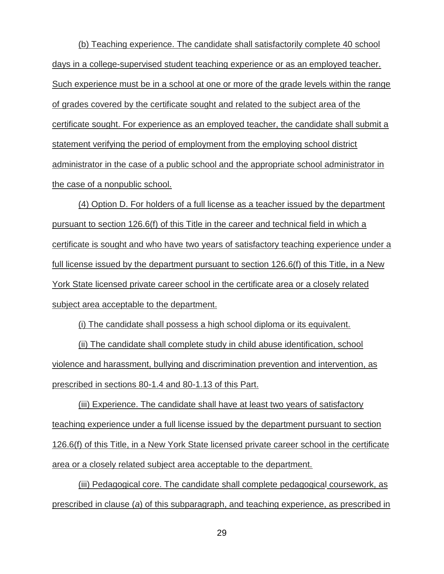(b) Teaching experience. The candidate shall satisfactorily complete 40 school days in a college-supervised student teaching experience or as an employed teacher. Such experience must be in a school at one or more of the grade levels within the range of grades covered by the certificate sought and related to the subject area of the certificate sought. For experience as an employed teacher, the candidate shall submit a statement verifying the period of employment from the employing school district administrator in the case of a public school and the appropriate school administrator in the case of a nonpublic school.

(4) Option D. For holders of a full license as a teacher issued by the department pursuant to section 126.6(f) of this Title in the career and technical field in which a certificate is sought and who have two years of satisfactory teaching experience under a full license issued by the department pursuant to section 126.6(f) of this Title, in a New York State licensed private career school in the certificate area or a closely related subject area acceptable to the department.

(i) The candidate shall possess a high school diploma or its equivalent.

(ii) The candidate shall complete study in child abuse identification, school violence and harassment, bullying and discrimination prevention and intervention, as prescribed in sections 80-1.4 and 80-1.13 of this Part.

(iii) Experience. The candidate shall have at least two years of satisfactory teaching experience under a full license issued by the department pursuant to section 126.6(f) of this Title, in a New York State licensed private career school in the certificate area or a closely related subject area acceptable to the department.

(iii) Pedagogical core. The candidate shall complete pedagogical coursework, as prescribed in clause (*a*) of this subparagraph, and teaching experience, as prescribed in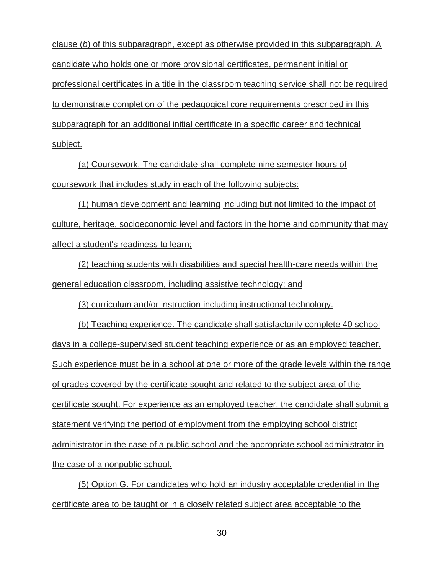clause (*b*) of this subparagraph, except as otherwise provided in this subparagraph. A candidate who holds one or more provisional certificates, permanent initial or professional certificates in a title in the classroom teaching service shall not be required to demonstrate completion of the pedagogical core requirements prescribed in this subparagraph for an additional initial certificate in a specific career and technical subject.

(a) Coursework. The candidate shall complete nine semester hours of coursework that includes study in each of the following subjects:

(1) human development and learning including but not limited to the impact of culture, heritage, socioeconomic level and factors in the home and community that may affect a student's readiness to learn;

(2) teaching students with disabilities and special health-care needs within the general education classroom, including assistive technology; and

(3) curriculum and/or instruction including instructional technology.

(b) Teaching experience. The candidate shall satisfactorily complete 40 school days in a college-supervised student teaching experience or as an employed teacher. Such experience must be in a school at one or more of the grade levels within the range of grades covered by the certificate sought and related to the subject area of the certificate sought. For experience as an employed teacher, the candidate shall submit a statement verifying the period of employment from the employing school district administrator in the case of a public school and the appropriate school administrator in the case of a nonpublic school.

(5) Option G. For candidates who hold an industry acceptable credential in the certificate area to be taught or in a closely related subject area acceptable to the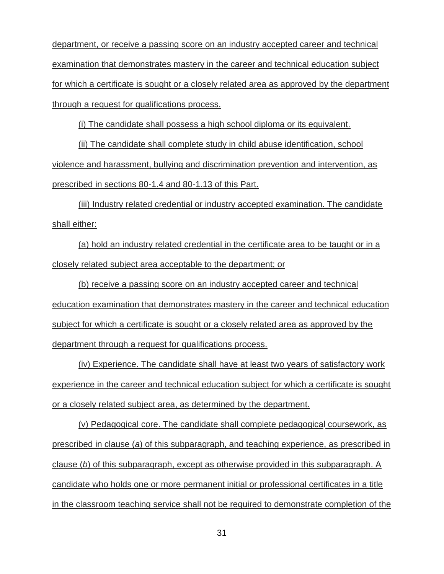department, or receive a passing score on an industry accepted career and technical examination that demonstrates mastery in the career and technical education subject for which a certificate is sought or a closely related area as approved by the department through a request for qualifications process.

(i) The candidate shall possess a high school diploma or its equivalent.

(ii) The candidate shall complete study in child abuse identification, school violence and harassment, bullying and discrimination prevention and intervention, as prescribed in sections 80-1.4 and 80-1.13 of this Part.

(iii) Industry related credential or industry accepted examination. The candidate shall either:

(a) hold an industry related credential in the certificate area to be taught or in a closely related subject area acceptable to the department; or

(b) receive a passing score on an industry accepted career and technical education examination that demonstrates mastery in the career and technical education subject for which a certificate is sought or a closely related area as approved by the department through a request for qualifications process.

(iv) Experience. The candidate shall have at least two years of satisfactory work experience in the career and technical education subject for which a certificate is sought or a closely related subject area, as determined by the department.

(v) Pedagogical core. The candidate shall complete pedagogical coursework, as prescribed in clause (*a*) of this subparagraph, and teaching experience, as prescribed in clause (*b*) of this subparagraph, except as otherwise provided in this subparagraph. A candidate who holds one or more permanent initial or professional certificates in a title in the classroom teaching service shall not be required to demonstrate completion of the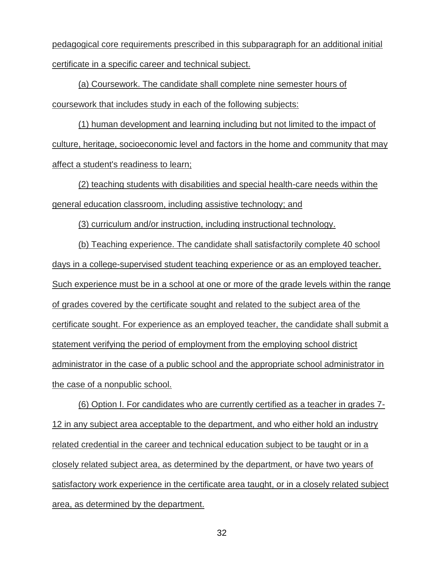pedagogical core requirements prescribed in this subparagraph for an additional initial certificate in a specific career and technical subject.

(a) Coursework. The candidate shall complete nine semester hours of coursework that includes study in each of the following subjects:

(1) human development and learning including but not limited to the impact of culture, heritage, socioeconomic level and factors in the home and community that may affect a student's readiness to learn;

(2) teaching students with disabilities and special health-care needs within the general education classroom, including assistive technology; and

(3) curriculum and/or instruction, including instructional technology.

(b) Teaching experience. The candidate shall satisfactorily complete 40 school days in a college-supervised student teaching experience or as an employed teacher. Such experience must be in a school at one or more of the grade levels within the range of grades covered by the certificate sought and related to the subject area of the certificate sought. For experience as an employed teacher, the candidate shall submit a statement verifying the period of employment from the employing school district administrator in the case of a public school and the appropriate school administrator in the case of a nonpublic school.

(6) Option I. For candidates who are currently certified as a teacher in grades 7- 12 in any subject area acceptable to the department, and who either hold an industry related credential in the career and technical education subject to be taught or in a closely related subject area, as determined by the department, or have two years of satisfactory work experience in the certificate area taught, or in a closely related subject area, as determined by the department.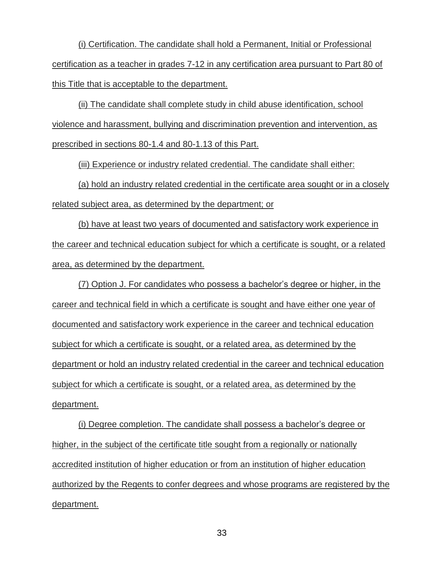(i) Certification. The candidate shall hold a Permanent, Initial or Professional certification as a teacher in grades 7-12 in any certification area pursuant to Part 80 of this Title that is acceptable to the department.

(ii) The candidate shall complete study in child abuse identification, school violence and harassment, bullying and discrimination prevention and intervention, as prescribed in sections 80-1.4 and 80-1.13 of this Part.

(iii) Experience or industry related credential. The candidate shall either:

(a) hold an industry related credential in the certificate area sought or in a closely related subject area, as determined by the department; or

(b) have at least two years of documented and satisfactory work experience in the career and technical education subject for which a certificate is sought, or a related area, as determined by the department.

(7) Option J. For candidates who possess a bachelor's degree or higher, in the career and technical field in which a certificate is sought and have either one year of documented and satisfactory work experience in the career and technical education subject for which a certificate is sought, or a related area, as determined by the department or hold an industry related credential in the career and technical education subject for which a certificate is sought, or a related area, as determined by the department.

(i) Degree completion. The candidate shall possess a bachelor's degree or higher, in the subject of the certificate title sought from a regionally or nationally accredited institution of higher education or from an institution of higher education authorized by the Regents to confer degrees and whose programs are registered by the department.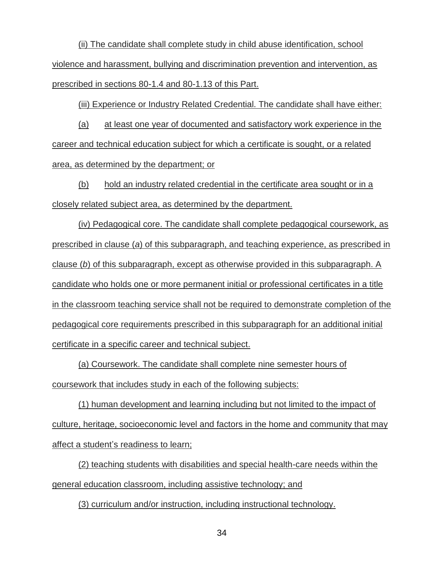(ii) The candidate shall complete study in child abuse identification, school violence and harassment, bullying and discrimination prevention and intervention, as prescribed in sections 80-1.4 and 80-1.13 of this Part.

(iii) Experience or Industry Related Credential. The candidate shall have either:

(a) at least one year of documented and satisfactory work experience in the career and technical education subject for which a certificate is sought, or a related area, as determined by the department; or

(b) hold an industry related credential in the certificate area sought or in a closely related subject area, as determined by the department.

(iv) Pedagogical core. The candidate shall complete pedagogical coursework, as prescribed in clause (*a*) of this subparagraph, and teaching experience, as prescribed in clause (*b*) of this subparagraph, except as otherwise provided in this subparagraph. A candidate who holds one or more permanent initial or professional certificates in a title in the classroom teaching service shall not be required to demonstrate completion of the pedagogical core requirements prescribed in this subparagraph for an additional initial certificate in a specific career and technical subject.

(a) Coursework. The candidate shall complete nine semester hours of coursework that includes study in each of the following subjects:

(1) human development and learning including but not limited to the impact of culture, heritage, socioeconomic level and factors in the home and community that may affect a student's readiness to learn;

(2) teaching students with disabilities and special health-care needs within the general education classroom, including assistive technology; and

(3) curriculum and/or instruction, including instructional technology.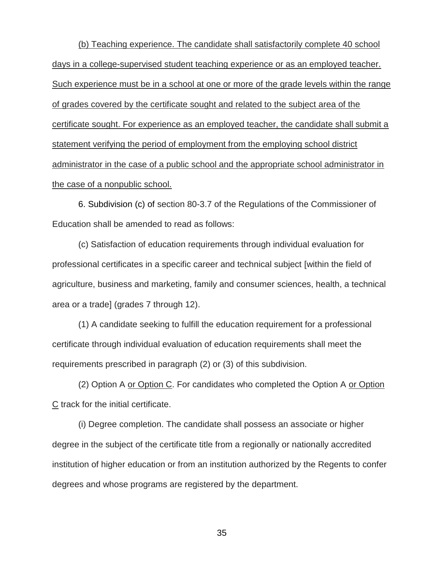(b) Teaching experience. The candidate shall satisfactorily complete 40 school days in a college-supervised student teaching experience or as an employed teacher. Such experience must be in a school at one or more of the grade levels within the range of grades covered by the certificate sought and related to the subject area of the certificate sought. For experience as an employed teacher, the candidate shall submit a statement verifying the period of employment from the employing school district administrator in the case of a public school and the appropriate school administrator in the case of a nonpublic school.

6. Subdivision (c) of section 80-3.7 of the Regulations of the Commissioner of Education shall be amended to read as follows:

(c) Satisfaction of education requirements through individual evaluation for professional certificates in a specific career and technical subject [within the field of agriculture, business and marketing, family and consumer sciences, health, a technical area or a trade] (grades 7 through 12).

(1) A candidate seeking to fulfill the education requirement for a professional certificate through individual evaluation of education requirements shall meet the requirements prescribed in paragraph (2) or (3) of this subdivision.

(2) Option A or Option C. For candidates who completed the Option A or Option C track for the initial certificate.

(i) Degree completion. The candidate shall possess an associate or higher degree in the subject of the certificate title from a regionally or nationally accredited institution of higher education or from an institution authorized by the Regents to confer degrees and whose programs are registered by the department.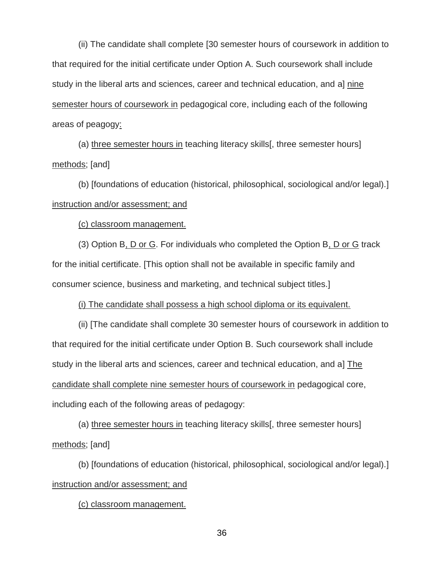(ii) The candidate shall complete [30 semester hours of coursework in addition to that required for the initial certificate under Option A. Such coursework shall include study in the liberal arts and sciences, career and technical education, and a] nine semester hours of coursework in pedagogical core, including each of the following areas of peagogy:

(a) three semester hours in teaching literacy skills[, three semester hours] methods; [and]

(b) [foundations of education (historical, philosophical, sociological and/or legal).] instruction and/or assessment; and

(c) classroom management.

(3) Option B, D or G. For individuals who completed the Option B, D or G track for the initial certificate. [This option shall not be available in specific family and consumer science, business and marketing, and technical subject titles.]

(i) The candidate shall possess a high school diploma or its equivalent.

(ii) [The candidate shall complete 30 semester hours of coursework in addition to that required for the initial certificate under Option B. Such coursework shall include study in the liberal arts and sciences, career and technical education, and a] The candidate shall complete nine semester hours of coursework in pedagogical core, including each of the following areas of pedagogy:

(a) three semester hours in teaching literacy skills [, three semester hours] methods; [and]

(b) [foundations of education (historical, philosophical, sociological and/or legal).] instruction and/or assessment; and

(c) classroom management.